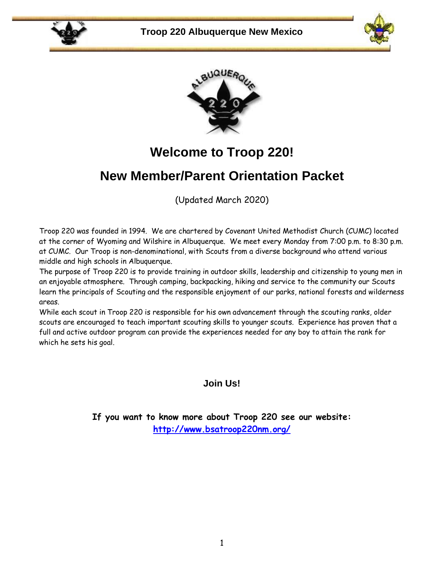





## **Welcome to Troop 220!**

## **New Member/Parent Orientation Packet**

(Updated March 2020)

Troop 220 was founded in 1994. We are chartered by Covenant United Methodist Church (CUMC) located at the corner of Wyoming and Wilshire in Albuquerque. We meet every Monday from 7:00 p.m. to 8:30 p.m. at CUMC. Our Troop is non-denominational, with Scouts from a diverse background who attend various middle and high schools in Albuquerque.

The purpose of Troop 220 is to provide training in outdoor skills, leadership and citizenship to young men in an enjoyable atmosphere. Through camping, backpacking, hiking and service to the community our Scouts learn the principals of Scouting and the responsible enjoyment of our parks, national forests and wilderness areas.

While each scout in Troop 220 is responsible for his own advancement through the scouting ranks, older scouts are encouraged to teach important scouting skills to younger scouts. Experience has proven that a full and active outdoor program can provide the experiences needed for any boy to attain the rank for which he sets his goal.

**Join Us!**

**If you want to know more about Troop 220 see our website: <http://www.bsatroop220nm.org/>**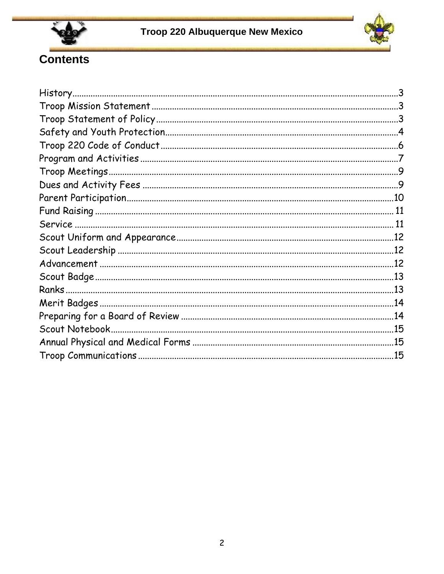



# Contents

| .15 |
|-----|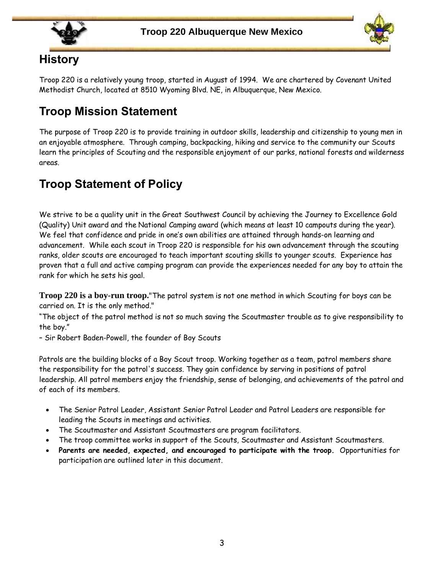



#### **History**

Troop 220 is a relatively young troop, started in August of 1994. We are chartered by Covenant United Methodist Church, located at 8510 Wyoming Blvd. NE, in Albuquerque, New Mexico.

## **Troop Mission Statement**

The purpose of Troop 220 is to provide training in outdoor skills, leadership and citizenship to young men in an enjoyable atmosphere. Through camping, backpacking, hiking and service to the community our Scouts learn the principles of Scouting and the responsible enjoyment of our parks, national forests and wilderness areas.

## **Troop Statement of Policy**

We strive to be a quality unit in the Great Southwest Council by achieving the Journey to Excellence Gold (Quality) Unit award and the National Camping award (which means at least 10 campouts during the year). We feel that confidence and pride in one's own abilities are attained through hands-on learning and advancement. While each scout in Troop 220 is responsible for his own advancement through the scouting ranks, older scouts are encouraged to teach important scouting skills to younger scouts. Experience has proven that a full and active camping program can provide the experiences needed for any boy to attain the rank for which he sets his goal.

**Troop 220 is a boy-run troop.**"The patrol system is not one method in which Scouting for boys can be carried on. It is the only method."

"The object of the patrol method is not so much saving the Scoutmaster trouble as to give responsibility to the boy."

– Sir Robert Baden-Powell, the founder of Boy Scouts

Patrols are the building blocks of a Boy Scout troop. Working together as a team, patrol members share the responsibility for the patrol's success. They gain confidence by serving in positions of patrol leadership. All patrol members enjoy the friendship, sense of belonging, and achievements of the patrol and of each of its members.

- The Senior Patrol Leader, Assistant Senior Patrol Leader and Patrol Leaders are responsible for leading the Scouts in meetings and activities.
- The Scoutmaster and Assistant Scoutmasters are program facilitators.
- The troop committee works in support of the Scouts, Scoutmaster and Assistant Scoutmasters.
- **Parents are needed, expected, and encouraged to participate with the troop.** Opportunities for participation are outlined later in this document.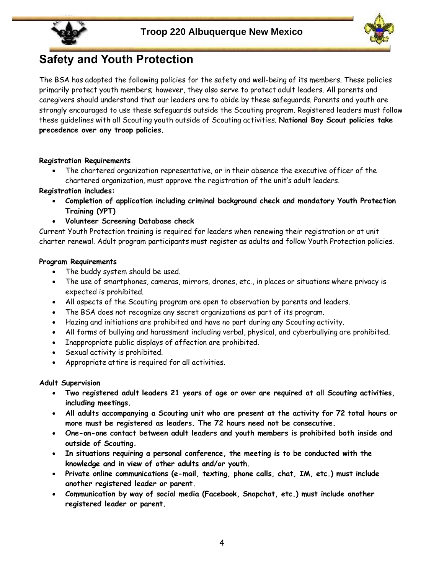

## **Safety and Youth Protection**

The BSA has adopted the following policies for the safety and well-being of its members. These policies primarily protect youth members; however, they also serve to protect adult leaders. All parents and caregivers should understand that our leaders are to abide by these safeguards. Parents and youth are strongly encouraged to use these safeguards outside the Scouting program. Registered leaders must follow these guidelines with all Scouting youth outside of Scouting activities. **National Boy Scout policies take precedence over any troop policies.**

#### **Registration Requirements**

• The chartered organization representative, or in their absence the executive officer of the chartered organization, must approve the registration of the unit's adult leaders.

**Registration includes:**

- **Completion of application including criminal background check and mandatory Youth Protection Training (YPT)**
- **Volunteer Screening Database check**

Current Youth Protection training is required for leaders when renewing their registration or at unit charter renewal. Adult program participants must register as adults and follow Youth Protection policies.

#### **Program Requirements**

- The buddy system should be used.
- The use of smartphones, cameras, mirrors, drones, etc., in places or situations where privacy is expected is prohibited.
- All aspects of the Scouting program are open to observation by parents and leaders.
- The BSA does not recognize any secret organizations as part of its program.
- Hazing and initiations are prohibited and have no part during any Scouting activity.
- All forms of bullying and harassment including verbal, physical, and cyberbullying are prohibited.
- Inappropriate public displays of affection are prohibited.
- Sexual activity is prohibited.
- Appropriate attire is required for all activities.

#### **Adult Supervision**

- **Two registered adult leaders 21 years of age or over are required at all Scouting activities, including meetings.**
- **All adults accompanying a Scouting unit who are present at the activity for 72 total hours or more must be registered as leaders. The 72 hours need not be consecutive.**
- **One-on-one contact between adult leaders and youth members is prohibited both inside and outside of Scouting.**
- **In situations requiring a personal conference, the meeting is to be conducted with the knowledge and in view of other adults and/or youth.**
- **Private online communications (e-mail, texting, phone calls, chat, IM, etc.) must include another registered leader or parent.**
- **Communication by way of social media (Facebook, Snapchat, etc.) must include another registered leader or parent.**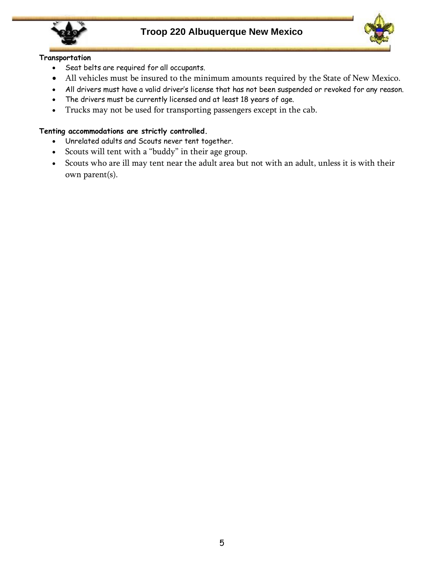



#### **Transportation**

- Seat belts are required for all occupants.
- All vehicles must be insured to the minimum amounts required by the State of New Mexico.
- All drivers must have a valid driver's license that has not been suspended or revoked for any reason.
- The drivers must be currently licensed and at least 18 years of age.
- Trucks may not be used for transporting passengers except in the cab.

#### **Tenting accommodations are strictly controlled.**

- Unrelated adults and Scouts never tent together.
- Scouts will tent with a "buddy" in their age group.
- Scouts who are ill may tent near the adult area but not with an adult, unless it is with their own parent(s).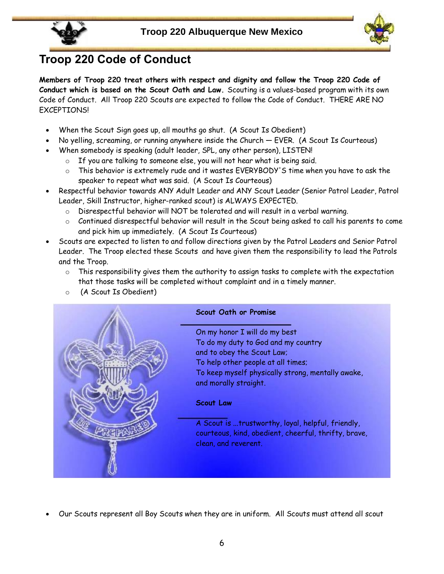

## **Troop 220 Code of Conduct**

**Members of Troop 220 treat others with respect and dignity and follow the Troop 220 Code of Conduct which is based on the Scout Oath and Law.** Scouting is a values-based program with its own Code of Conduct. All Troop 220 Scouts are expected to follow the Code of Conduct. THERE ARE NO EXCEPTIONS!

- When the Scout Sign goes up, all mouths go shut. (A Scout Is Obedient)
- No yelling, screaming, or running anywhere inside the Church EVER. (A Scout Is Courteous)
- When somebody is speaking (adult leader, SPL, any other person), LISTEN!
	- o If you are talking to someone else, you will not hear what is being said.
	- $\circ$  This behavior is extremely rude and it wastes EVERYBODY'S time when you have to ask the speaker to repeat what was said. (A Scout Is Courteous)
- Respectful behavior towards ANY Adult Leader and ANY Scout Leader (Senior Patrol Leader, Patrol Leader, Skill Instructor, higher-ranked scout) is ALWAYS EXPECTED.
	- o Disrespectful behavior will NOT be tolerated and will result in a verbal warning.
	- $\circ$  Continued disrespectful behavior will result in the Scout being asked to call his parents to come and pick him up immediately. (A Scout Is Courteous)
- Scouts are expected to listen to and follow directions given by the Patrol Leaders and Senior Patrol Leader. The Troop elected these Scouts and have given them the responsibility to lead the Patrols and the Troop.
	- $\circ$  This responsibility gives them the authority to assign tasks to complete with the expectation that those tasks will be completed without complaint and in a timely manner.
	- o (A Scout Is Obedient)



• Our Scouts represent all Boy Scouts when they are in uniform. All Scouts must attend all scout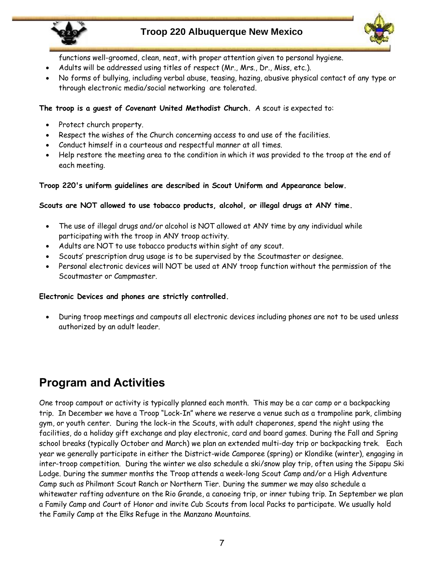

#### **Troop 220 Albuquerque New Mexico**



functions well-groomed, clean, neat, with proper attention given to personal hygiene.

- Adults will be addressed using titles of respect (Mr., Mrs., Dr., Miss, etc.).
- No forms of bullying, including verbal abuse, teasing, hazing, abusive physical contact of any type or through electronic media/social networking are tolerated.

#### **The troop is a guest of Covenant United Methodist Church.** A scout is expected to:

- Protect church property.
- Respect the wishes of the Church concerning access to and use of the facilities.
- Conduct himself in a courteous and respectful manner at all times.
- Help restore the meeting area to the condition in which it was provided to the troop at the end of each meeting.

#### **Troop 220's uniform guidelines are described in Scout Uniform and Appearance below.**

#### **Scouts are NOT allowed to use tobacco products, alcohol, or illegal drugs at ANY time.**

- The use of illegal drugs and/or alcohol is NOT allowed at ANY time by any individual while participating with the troop in ANY troop activity.
- Adults are NOT to use tobacco products within sight of any scout.
- Scouts' prescription drug usage is to be supervised by the Scoutmaster or designee.
- Personal electronic devices will NOT be used at ANY troop function without the permission of the Scoutmaster or Campmaster.

#### **Electronic Devices and phones are strictly controlled.**

• During troop meetings and campouts all electronic devices including phones are not to be used unless authorized by an adult leader.

### **Program and Activities**

One troop campout or activity is typically planned each month. This may be a car camp or a backpacking trip. In December we have a Troop "Lock-In" where we reserve a venue such as a trampoline park, climbing gym, or youth center. During the lock-in the Scouts, with adult chaperones, spend the night using the facilities, do a holiday gift exchange and play electronic, card and board games. During the Fall and Spring school breaks (typically October and March) we plan an extended multi-day trip or backpacking trek. Each year we generally participate in either the District-wide Camporee (spring) or Klondike (winter), engaging in inter-troop competition. During the winter we also schedule a ski/snow play trip, often using the Sipapu Ski Lodge. During the summer months the Troop attends a week-long Scout Camp and/or a High Adventure Camp such as Philmont Scout Ranch or Northern Tier. During the summer we may also schedule a whitewater rafting adventure on the Rio Grande, a canoeing trip, or inner tubing trip. In September we plan a Family Camp and Court of Honor and invite Cub Scouts from local Packs to participate. We usually hold the Family Camp at the Elks Refuge in the Manzano Mountains.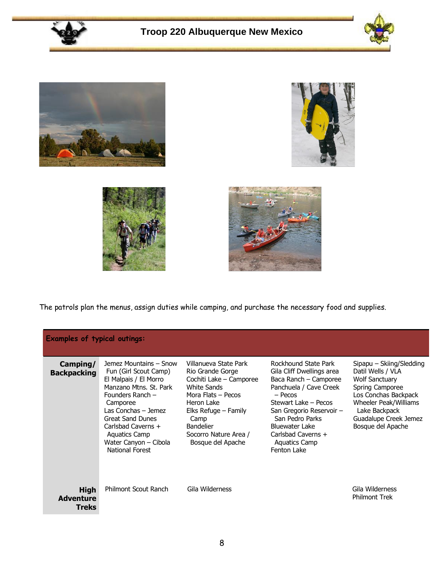











The patrols plan the menus, assign duties while camping, and purchase the necessary food and supplies.

| <b>Examples of typical outings:</b>             |                                                                                                                                                                                                                                                                                |                                                                                                                                                                                                                           |                                                                                                                                                                                                                                                                                |                                                                                                                                                                                                           |  |
|-------------------------------------------------|--------------------------------------------------------------------------------------------------------------------------------------------------------------------------------------------------------------------------------------------------------------------------------|---------------------------------------------------------------------------------------------------------------------------------------------------------------------------------------------------------------------------|--------------------------------------------------------------------------------------------------------------------------------------------------------------------------------------------------------------------------------------------------------------------------------|-----------------------------------------------------------------------------------------------------------------------------------------------------------------------------------------------------------|--|
| Camping/<br><b>Backpacking</b>                  | Jemez Mountains - Snow<br>Fun (Girl Scout Camp)<br>El Malpais / El Morro<br>Manzano Mtns. St. Park<br>Founders Ranch -<br>Camporee<br>Las Conchas - Jemez<br><b>Great Sand Dunes</b><br>Carlsbad Caverns +<br><b>Aquatics Camp</b><br>Water Canyon - Cibola<br>National Forest | Villanueva State Park<br>Rio Grande Gorge<br>Cochiti Lake - Camporee<br>White Sands<br>Mora Flats - Pecos<br>Heron Lake<br>Elks Refuge – Family<br>Camp<br><b>Bandelier</b><br>Socorro Nature Area /<br>Bosque del Apache | Rockhound State Park<br>Gila Cliff Dwellings area<br>Baca Ranch - Camporee<br>Panchuela / Cave Creek<br>$-$ Pecos<br>Stewart Lake - Pecos<br>San Gregorio Reservoir -<br>San Pedro Parks<br><b>Bluewater Lake</b><br>Carlsbad Caverns +<br><b>Aquatics Camp</b><br>Fenton Lake | Sipapu – Skiing/Sledding<br>Datil Wells / VLA<br><b>Wolf Sanctuary</b><br>Spring Camporee<br>Los Conchas Backpack<br>Wheeler Peak/Williams<br>Lake Backpack<br>Guadalupe Creek Jemez<br>Bosque del Apache |  |
| <b>High</b><br><b>Adventure</b><br><b>Treks</b> | <b>Philmont Scout Ranch</b>                                                                                                                                                                                                                                                    | Gila Wilderness                                                                                                                                                                                                           |                                                                                                                                                                                                                                                                                | Gila Wilderness<br><b>Philmont Trek</b>                                                                                                                                                                   |  |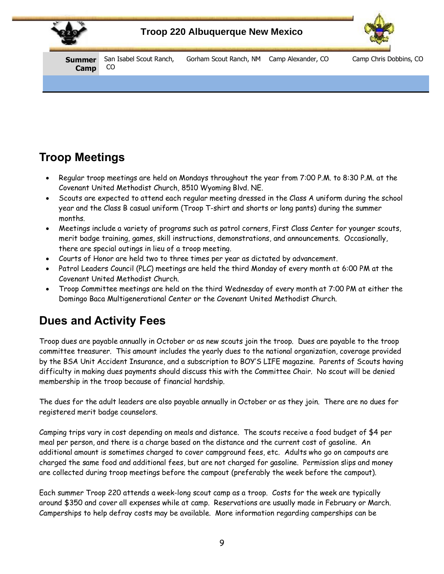



**Summer Camp** San Isabel Scout Ranch, CO Gorham Scout Ranch, NM Camp Alexander, CO Camp Chris Dobbins, CO

## **Troop Meetings**

- Regular troop meetings are held on Mondays throughout the year from 7:00 P.M. to 8:30 P.M. at the Covenant United Methodist Church, 8510 Wyoming Blvd. NE.
- Scouts are expected to attend each regular meeting dressed in the Class A uniform during the school year and the Class B casual uniform (Troop T-shirt and shorts or long pants) during the summer months.
- Meetings include a variety of programs such as patrol corners, First Class Center for younger scouts, merit badge training, games, skill instructions, demonstrations, and announcements. Occasionally, there are special outings in lieu of a troop meeting.
- Courts of Honor are held two to three times per year as dictated by advancement.
- Patrol Leaders Council (PLC) meetings are held the third Monday of every month at 6:00 PM at the Covenant United Methodist Church.
- Troop Committee meetings are held on the third Wednesday of every month at 7:00 PM at either the Domingo Baca Multigenerational Center or the Covenant United Methodist Church.

## **Dues and Activity Fees**

Troop dues are payable annually in October or as new scouts join the troop. Dues are payable to the troop committee treasurer. This amount includes the yearly dues to the national organization, coverage provided by the BSA Unit Accident Insurance, and a subscription to BOY'S LIFE magazine. Parents of Scouts having difficulty in making dues payments should discuss this with the Committee Chair. No scout will be denied membership in the troop because of financial hardship.

The dues for the adult leaders are also payable annually in October or as they join. There are no dues for registered merit badge counselors.

Camping trips vary in cost depending on meals and distance. The scouts receive a food budget of \$4 per meal per person, and there is a charge based on the distance and the current cost of gasoline. An additional amount is sometimes charged to cover campground fees, etc. Adults who go on campouts are charged the same food and additional fees, but are not charged for gasoline. Permission slips and money are collected during troop meetings before the campout (preferably the week before the campout).

Each summer Troop 220 attends a week-long scout camp as a troop. Costs for the week are typically around \$350 and cover all expenses while at camp. Reservations are usually made in February or March. Camperships to help defray costs may be available. More information regarding camperships can be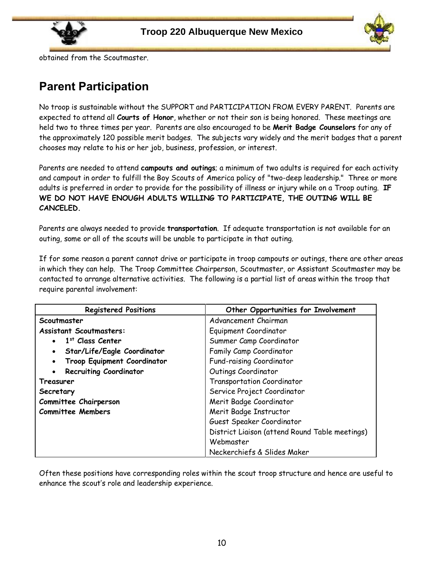



obtained from the Scoutmaster.

### **Parent Participation**

No troop is sustainable without the SUPPORT and PARTICIPATION FROM EVERY PARENT. Parents are expected to attend all **Courts of Honor**, whether or not their son is being honored. These meetings are held two to three times per year. Parents are also encouraged to be **Merit Badge Counselors** for any of the approximately 120 possible merit badges. The subjects vary widely and the merit badges that a parent chooses may relate to his or her job, business, profession, or interest.

Parents are needed to attend **campouts and outings**; a minimum of two adults is required for each activity and campout in order to fulfill the Boy Scouts of America policy of "two-deep leadership." Three or more adults is preferred in order to provide for the possibility of illness or injury while on a Troop outing. **IF WE DO NOT HAVE ENOUGH ADULTS WILLING TO PARTICIPATE, THE OUTING WILL BE CANCELED.**

Parents are always needed to provide **transportation**. If adequate transportation is not available for an outing, some or all of the scouts will be unable to participate in that outing.

If for some reason a parent cannot drive or participate in troop campouts or outings, there are other areas in which they can help. The Troop Committee Chairperson, Scoutmaster, or Assistant Scoutmaster may be contacted to arrange alternative activities. The following is a partial list of areas within the troop that require parental involvement:

| <b>Registered Positions</b>    | Other Opportunities for Involvement            |  |
|--------------------------------|------------------------------------------------|--|
| Scoutmaster                    | Advancement Chairman                           |  |
| <b>Assistant Scoutmasters:</b> | Equipment Coordinator                          |  |
| $\bullet$ 1st Class Center     | Summer Camp Coordinator                        |  |
| Star/Life/Eagle Coordinator    | Family Camp Coordinator                        |  |
| Troop Equipment Coordinator    | Fund-raising Coordinator                       |  |
| <b>Recruiting Coordinator</b>  | Outings Coordinator                            |  |
| Treasurer                      | Transportation Coordinator                     |  |
| Secretary                      | Service Project Coordinator                    |  |
| Committee Chairperson          | Merit Badge Coordinator                        |  |
| <b>Committee Members</b>       | Merit Badge Instructor                         |  |
|                                | Guest Speaker Coordinator                      |  |
|                                | District Liaison (attend Round Table meetings) |  |
|                                | Webmaster                                      |  |
|                                | Neckerchiefs & Slides Maker                    |  |

Often these positions have corresponding roles within the scout troop structure and hence are useful to enhance the scout's role and leadership experience.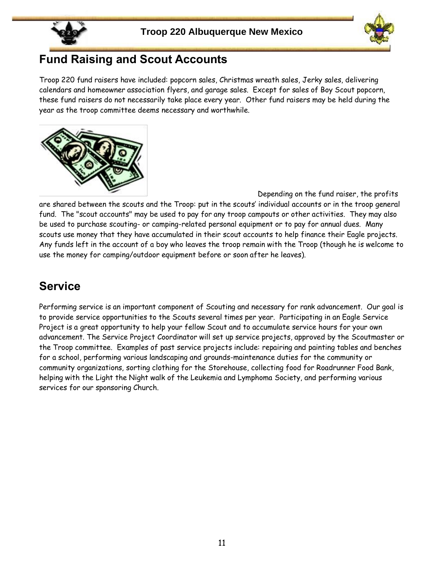



#### **Fund Raising and Scout Accounts**

Troop 220 fund raisers have included: popcorn sales, Christmas wreath sales, Jerky sales, delivering calendars and homeowner association flyers, and garage sales. Except for sales of Boy Scout popcorn, these fund raisers do not necessarily take place every year. Other fund raisers may be held during the year as the troop committee deems necessary and worthwhile.



Depending on the fund raiser, the profits are shared between the scouts and the Troop: put in the scouts' individual accounts or in the troop general fund. The "scout accounts" may be used to pay for any troop campouts or other activities. They may also be used to purchase scouting- or camping-related personal equipment or to pay for annual dues. Many scouts use money that they have accumulated in their scout accounts to help finance their Eagle projects. Any funds left in the account of a boy who leaves the troop remain with the Troop (though he is welcome to use the money for camping/outdoor equipment before or soon after he leaves).

## **Service**

Performing service is an important component of Scouting and necessary for rank advancement. Our goal is to provide service opportunities to the Scouts several times per year. Participating in an Eagle Service Project is a great opportunity to help your fellow Scout and to accumulate service hours for your own advancement. The Service Project Coordinator will set up service projects, approved by the Scoutmaster or the Troop committee. Examples of past service projects include: repairing and painting tables and benches for a school, performing various landscaping and grounds-maintenance duties for the community or community organizations, sorting clothing for the Storehouse, collecting food for Roadrunner Food Bank, helping with the Light the Night walk of the Leukemia and Lymphoma Society, and performing various services for our sponsoring Church.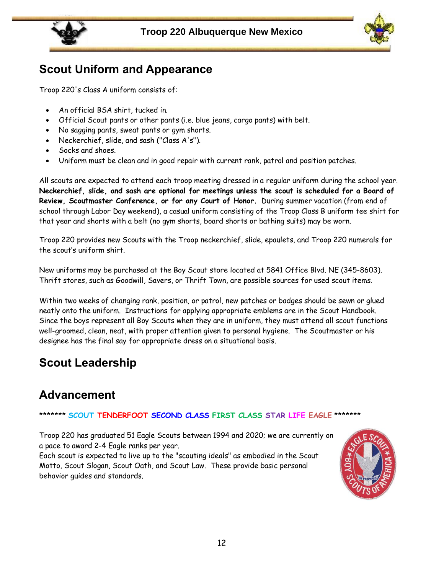



### **Scout Uniform and Appearance**

Troop 220's Class A uniform consists of:

- An official BSA shirt, tucked in.
- Official Scout pants or other pants (i.e. blue jeans, cargo pants) with belt.
- No sagging pants, sweat pants or gym shorts.
- Neckerchief, slide, and sash ("Class A's").
- Socks and shoes.
- Uniform must be clean and in good repair with current rank, patrol and position patches.

All scouts are expected to attend each troop meeting dressed in a regular uniform during the school year. **Neckerchief, slide, and sash are optional for meetings unless the scout is scheduled for a Board of Review, Scoutmaster Conference, or for any Court of Honor.** During summer vacation (from end of school through Labor Day weekend), a casual uniform consisting of the Troop Class B uniform tee shirt for that year and shorts with a belt (no gym shorts, board shorts or bathing suits) may be worn.

Troop 220 provides new Scouts with the Troop neckerchief, slide, epaulets, and Troop 220 numerals for the scout's uniform shirt.

New uniforms may be purchased at the Boy Scout store located at 5841 Office Blvd. NE (345-8603). Thrift stores, such as Goodwill, Savers, or Thrift Town, are possible sources for used scout items.

Within two weeks of changing rank, position, or patrol, new patches or badges should be sewn or glued neatly onto the uniform. Instructions for applying appropriate emblems are in the Scout Handbook. Since the boys represent all Boy Scouts when they are in uniform, they must attend all scout functions well-groomed, clean, neat, with proper attention given to personal hygiene. The Scoutmaster or his designee has the final say for appropriate dress on a situational basis.

## **Scout Leadership**

## **Advancement**

#### \*\*\*\*\*\*\* **SCOUT TENDERFOOT SECOND CLASS FIRST CLASS STAR LIFE EAGLE** \*\*\*\*\*\*\*

Troop 220 has graduated 51 Eagle Scouts between 1994 and 2020; we are currently on a pace to award 2-4 Eagle ranks per year.

Each scout is expected to live up to the "scouting ideals" as embodied in the Scout Motto, Scout Slogan, Scout Oath, and Scout Law. These provide basic personal behavior guides and standards.

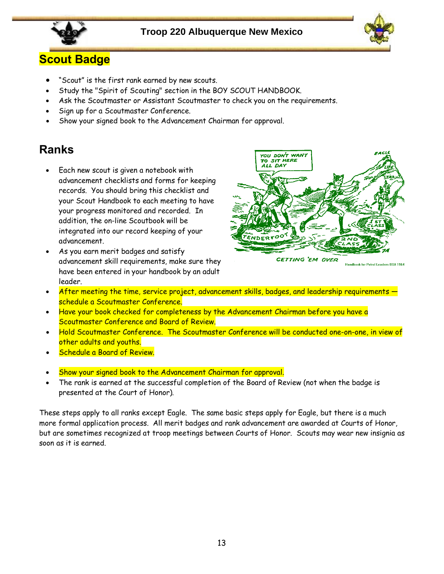



## **Scout Badge**

- "Scout" is the first rank earned by new scouts.
- Study the "Spirit of Scouting" section in the BOY SCOUT HANDBOOK.
- Ask the Scoutmaster or Assistant Scoutmaster to check you on the requirements.
- Sign up for a Scoutmaster Conference.
- Show your signed book to the Advancement Chairman for approval.

### **Ranks**

- Each new scout is given a notebook with advancement checklists and forms for keeping records. You should bring this checklist and your Scout Handbook to each meeting to have your progress monitored and recorded. In addition, the on-line Scoutbook will be integrated into our record keeping of your advancement.
- As you earn merit badges and satisfy advancement skill requirements, make sure they have been entered in your handbook by an adult leader.



Handbook for Patrol Leaders BSA 1964

- After meeting the time, service project, advancement skills, badges, and leadership requirements schedule a Scoutmaster Conference.
- Have your book checked for completeness by the Advancement Chairman before you have a Scoutmaster Conference and Board of Review.
- Hold Scoutmaster Conference. The Scoutmaster Conference will be conducted one-on-one, in view of other adults and youths.
- Schedule a Board of Review.
- Show your signed book to the Advancement Chairman for approval.
- The rank is earned at the successful completion of the Board of Review (not when the badge is presented at the Court of Honor).

These steps apply to all ranks except Eagle. The same basic steps apply for Eagle, but there is a much more formal application process. All merit badges and rank advancement are awarded at Courts of Honor, but are sometimes recognized at troop meetings between Courts of Honor. Scouts may wear new insignia as soon as it is earned.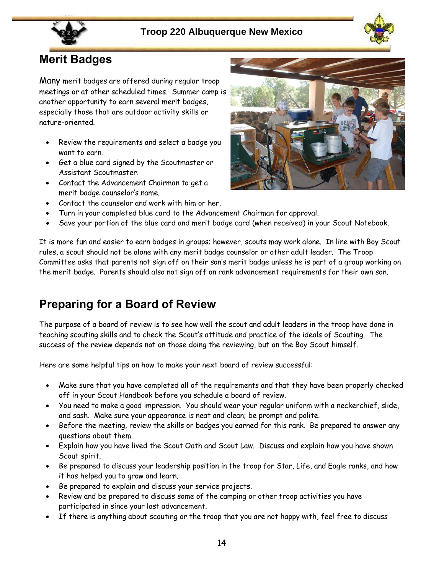



### **Merit Badges**

Many merit badges are offered during regular troop meetings or at other scheduled times. Summer camp is another opportunity to earn several merit badges, especially those that are outdoor activity skills or nature-oriented.

- Review the requirements and select a badge you want to earn.
- Get a blue card signed by the Scoutmaster or Assistant Scoutmaster.
- Contact the Advancement Chairman to get a merit badge counselor's name.



- Contact the counselor and work with him or her.
- Turn in your completed blue card to the Advancement Chairman for approval.
- Save your portion of the blue card and merit badge card (when received) in your Scout Notebook.

It is more fun and easier to earn badges in groups; however, scouts may work alone. In line with Boy Scout rules, a scout should not be alone with any merit badge counselor or other adult leader. The Troop Committee asks that parents not sign off on their son's merit badge unless he is part of a group working on the merit badge. Parents should also not sign off on rank advancement requirements for their own son.

### **Preparing for a Board of Review**

The purpose of a board of review is to see how well the scout and adult leaders in the troop have done in teaching scouting skills and to check the Scout's attitude and practice of the ideals of Scouting. The success of the review depends not on those doing the reviewing, but on the Boy Scout himself.

Here are some helpful tips on how to make your next board of review successful:

- Make sure that you have completed all of the requirements and that they have been properly checked off in your Scout Handbook before you schedule a board of review.
- You need to make a good impression. You should wear your regular uniform with a neckerchief, slide, and sash. Make sure your appearance is neat and clean; be prompt and polite.
- Before the meeting, review the skills or badges you earned for this rank. Be prepared to answer any questions about them.
- Explain how you have lived the Scout Oath and Scout Law. Discuss and explain how you have shown Scout spirit.
- Be prepared to discuss your leadership position in the troop for Star, Life, and Eagle ranks, and how it has helped you to grow and learn.
- Be prepared to explain and discuss your service projects.
- Review and be prepared to discuss some of the camping or other troop activities you have participated in since your last advancement.
- If there is anything about scouting or the troop that you are not happy with, feel free to discuss